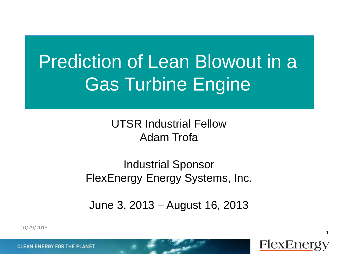# Prediction of Lean Blowout in a Gas Turbine Engine

UTSR Industrial Fellow Adam Trofa

Industrial Sponsor FlexEnergy Energy Systems, Inc.

June 3, 2013 – August 16, 2013

FlexEnergy

1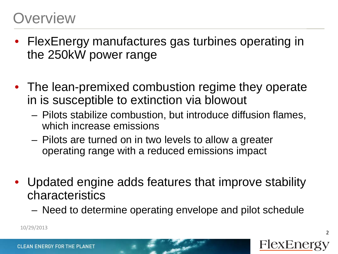### **Overview**

- FlexEnergy manufactures gas turbines operating in the 250kW power range
- The lean-premixed combustion regime they operate in is susceptible to extinction via blowout
	- Pilots stabilize combustion, but introduce diffusion flames, which increase emissions
	- Pilots are turned on in two levels to allow a greater operating range with a reduced emissions impact
- Updated engine adds features that improve stability characteristics
	- Need to determine operating envelope and pilot schedule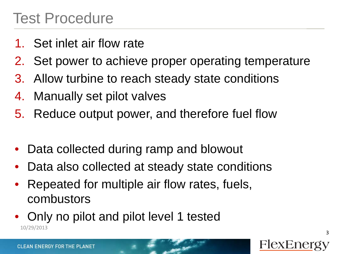### Test Procedure

- 1. Set inlet air flow rate
- 2. Set power to achieve proper operating temperature
- 3. Allow turbine to reach steady state conditions
- 4. Manually set pilot valves
- 5. Reduce output power, and therefore fuel flow
- Data collected during ramp and blowout
- Data also collected at steady state conditions
- Repeated for multiple air flow rates, fuels, combustors
- Only no pilot and pilot level 1 tested 10/29/2013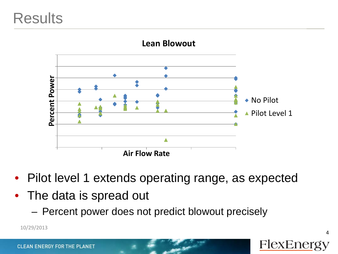### **Results**



#### **Lean Blowout**

- Pilot level 1 extends operating range, as expected
- The data is spread out
	-

10/29/2013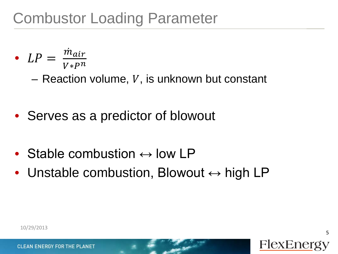- LP  $=$   $\frac{m_{air}}{V * P^n}$  $V*P^n$ 
	- Reaction volume,  $V$ , is unknown but constant
- Serves as a predictor of blowout
- Stable combustion  $\leftrightarrow$  low LP
- Unstable combustion, Blowout  $\leftrightarrow$  high LP

5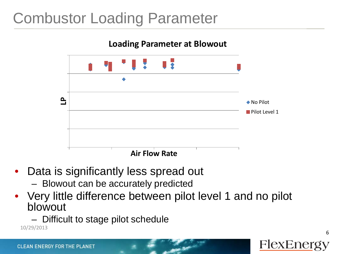## Combustor Loading Parameter



- Data is significantly less spread out
	- Blowout can be accurately predicted
- Very little difference between pilot level 1 and no pilot blowout
	- 10/29/2013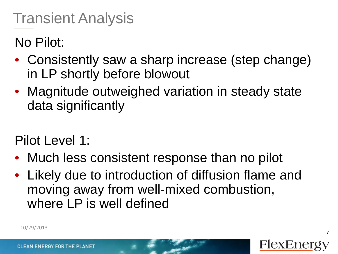No Pilot:

- Consistently saw a sharp increase (step change) in LP shortly before blowout
- Magnitude outweighed variation in steady state data significantly

Pilot Level 1:

- Much less consistent response than no pilot
- Likely due to introduction of diffusion flame and moving away from well-mixed combustion, where LP is well defined



7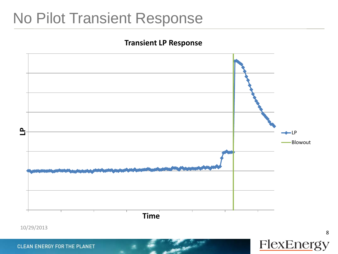### No Pilot Transient Response

#### **Transient LP Response**



**FlexEnergy**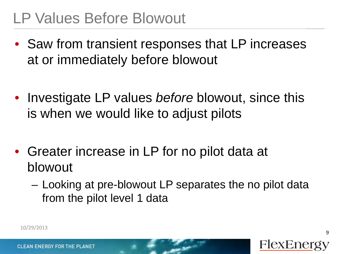- Saw from transient responses that LP increases at or immediately before blowout
- Investigate LP values *before* blowout, since this is when we would like to adjust pilots
- Greater increase in LP for no pilot data at blowout
	- Looking at pre-blowout LP separates the no pilot data from the pilot level 1 data

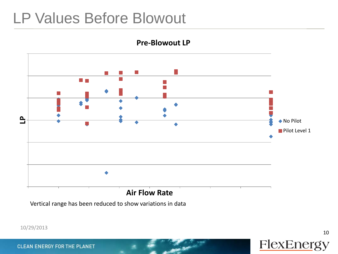

**Pre-Blowout LP**

Vertical range has been reduced to show variations in data

10 **FlexEnergy**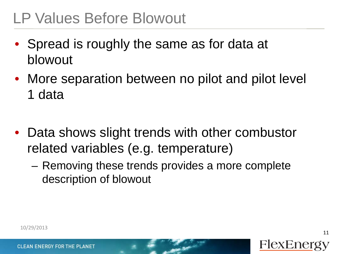- Spread is roughly the same as for data at blowout
- More separation between no pilot and pilot level 1 data
- Data shows slight trends with other combustor related variables (e.g. temperature)
	- Removing these trends provides a more complete description of blowout

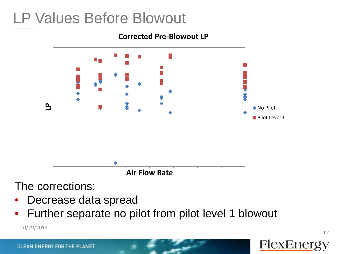#### **Corrected Pre-Blowout LP**



The corrections:

- Decrease data spread
- Further separate no pilot from pilot level 1 blowout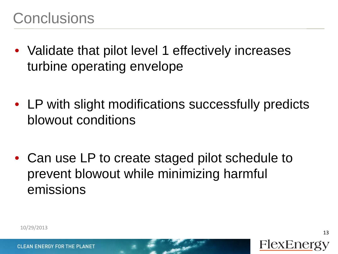- Validate that pilot level 1 effectively increases turbine operating envelope
- LP with slight modifications successfully predicts blowout conditions
- Can use LP to create staged pilot schedule to prevent blowout while minimizing harmful emissions



13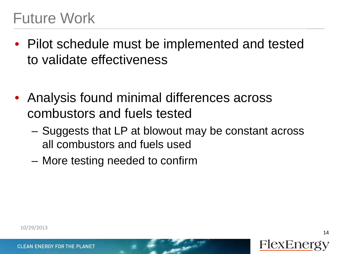- Pilot schedule must be implemented and tested to validate effectiveness
- Analysis found minimal differences across combustors and fuels tested
	- Suggests that LP at blowout may be constant across all combustors and fuels used
	- More testing needed to confirm